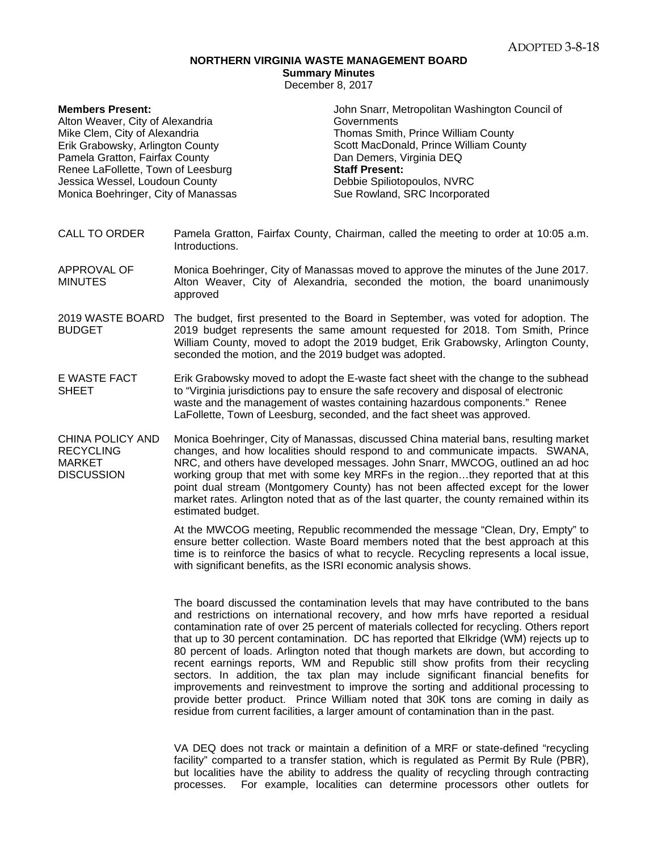## **NORTHERN VIRGINIA WASTE MANAGEMENT BOARD**

**Summary Minutes** 

December 8, 2017

| <b>Members Present:</b>             | John Snarr, Metropolitan Washington Council of |
|-------------------------------------|------------------------------------------------|
| Alton Weaver, City of Alexandria    | Governments                                    |
| Mike Clem, City of Alexandria       | Thomas Smith, Prince William County            |
| Erik Grabowsky, Arlington County    | Scott MacDonald, Prince William County         |
| Pamela Gratton, Fairfax County      | Dan Demers, Virginia DEQ                       |
| Renee LaFollette, Town of Leesburg  | <b>Staff Present:</b>                          |
| Jessica Wessel, Loudoun County      | Debbie Spiliotopoulos, NVRC                    |
| Monica Boehringer, City of Manassas | Sue Rowland, SRC Incorporated                  |
|                                     |                                                |

## CALL TO ORDER Pamela Gratton, Fairfax County, Chairman, called the meeting to order at 10:05 a.m. Introductions.

APPROVAL OF MINUTES Monica Boehringer, City of Manassas moved to approve the minutes of the June 2017. Alton Weaver, City of Alexandria, seconded the motion, the board unanimously approved

- 2019 WASTE BOARD The budget, first presented to the Board in September, was voted for adoption. The BUDGET 2019 budget represents the same amount requested for 2018. Tom Smith, Prince William County, moved to adopt the 2019 budget, Erik Grabowsky, Arlington County, seconded the motion, and the 2019 budget was adopted.
- E WASTE FACT **SHEET** Erik Grabowsky moved to adopt the E-waste fact sheet with the change to the subhead to "Virginia jurisdictions pay to ensure the safe recovery and disposal of electronic waste and the management of wastes containing hazardous components." Renee LaFollette, Town of Leesburg, seconded, and the fact sheet was approved.
- CHINA POLICY AND **RECYCLING** MARKET **DISCUSSION** Monica Boehringer, City of Manassas, discussed China material bans, resulting market changes, and how localities should respond to and communicate impacts. SWANA, NRC, and others have developed messages. John Snarr, MWCOG, outlined an ad hoc working group that met with some key MRFs in the region…they reported that at this point dual stream (Montgomery County) has not been affected except for the lower market rates. Arlington noted that as of the last quarter, the county remained within its estimated budget.

At the MWCOG meeting, Republic recommended the message "Clean, Dry, Empty" to ensure better collection. Waste Board members noted that the best approach at this time is to reinforce the basics of what to recycle. Recycling represents a local issue, with significant benefits, as the ISRI economic analysis shows.

The board discussed the contamination levels that may have contributed to the bans and restrictions on international recovery, and how mrfs have reported a residual contamination rate of over 25 percent of materials collected for recycling. Others report that up to 30 percent contamination. DC has reported that Elkridge (WM) rejects up to 80 percent of loads. Arlington noted that though markets are down, but according to recent earnings reports, WM and Republic still show profits from their recycling sectors. In addition, the tax plan may include significant financial benefits for improvements and reinvestment to improve the sorting and additional processing to provide better product. Prince William noted that 30K tons are coming in daily as residue from current facilities, a larger amount of contamination than in the past.

VA DEQ does not track or maintain a definition of a MRF or state-defined "recycling facility" comparted to a transfer station, which is regulated as Permit By Rule (PBR), but localities have the ability to address the quality of recycling through contracting processes. For example, localities can determine processors other outlets for